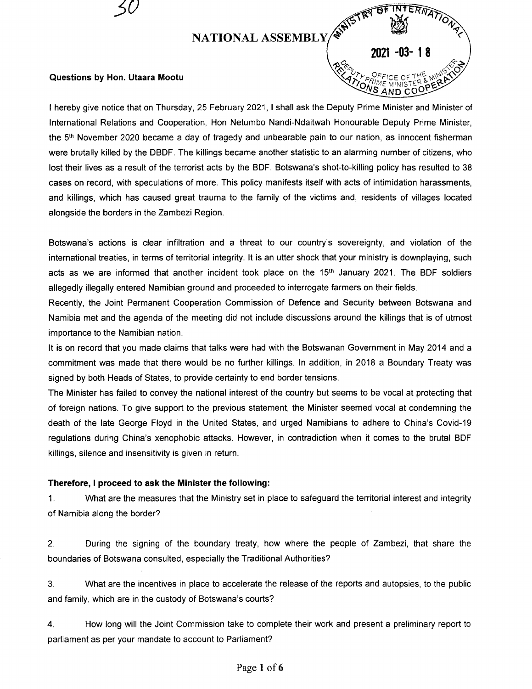NATIONAL ASSEMBLY

## **Questions by Hon. Utaara Mootu**

*jO*

RY OF INTERNATIO **2021 -03- 1 8**  $~\bullet$   $~\bullet$   $~\bullet$   $~\bullet$   $~\bullet$   $~\bullet$   $~\bullet$   $~\bullet$   $~\bullet$   $~\bullet$   $~\bullet$   $~\bullet$   $~\bullet$   $~\bullet$   $~\bullet$   $~\bullet$   $~\bullet$   $~\bullet$   $~\bullet$   $~\bullet$   $~\bullet$   $~\bullet$   $~\bullet$   $~\bullet$   $~\bullet$   $~\bullet$   $~\bullet$   $~\bullet$   $~\bullet$   $~\bullet$   $~\bullet$   $~\bullet$   $~\bullet$   $~\bullet$   $~\bullet$   $~\bullet$   $~\bullet$  $\mathcal{P}_{\mathbf{A}}^{\mathcal{X}\mathcal{Z}}$ ,  $\mathcal{N}_{\mathbf{A}}^{\mathcal{Y}\mathcal{Z}}$  $\mathcal{L}_{\mathbf{a}}$   $\mathcal{L}_{\mathbf{b}}$  Of Fice of the  $\mathbf{a}$ <sup>NN</sup>  $\mathbf{a}$  $\mathcal{D}_{\Omega}^{\mathcal{P},\mathcal{P},\mathcal{U},\mathcal{E}}$  MINISTER & ERP  $\frac{N}{N}$  AND COO $\frac{N}{N}$ 

I hereby give notice that on Thursday, 25 February 2021, I shall ask the Deputy Prime Minister and Minister of International Relations and Cooperation, Hon Netumbo Nandi-Ndaitwah Honourable Deputy Prime Minister, the 5<sup>th</sup> November 2020 became a day of tragedy and unbearable pain to our nation, as innocent fisherman were brutally killed by the DBDF. The killings became another statistic to an alarming number of citizens, who lost their lives as a result of the terrorist acts by the BDF. Botswana's shot-to-killing policy has resulted to 38 cases on record, with speculations of more. This policy manifests itself with acts of intimidation harassments, and killings, which has caused great trauma to the family of the victims and, residents of villages located alongside the borders in the Zambezi Region.

Botswana's actions is clear infiltration and a threat to our country's sovereignty, and violation of the international treaties, in terms of territorial integrity. It is an utter shock that your ministry is downplaying, such acts as we are informed that another incident took place on the  $15<sup>th</sup>$  January 2021. The BDF soldiers allegedly illegally entered Namibian ground and proceeded to interrogate farmers on their fields.

Recently, the Joint Permanent Cooperation Commission of Defence and Security between Botswana and Namibia met and the agenda of the meeting did not include discussions around the killings that is of utmost importance to the Namibian nation.

It is on record that you made claims that talks were had with the Botswanan Government in May 2014 and a commitment was made that there would be no further killings. In addition, in 2018 a Boundary Treaty was signed by both Heads of States, to provide certainty to end border tensions.

The Minister has failed to convey the national interest of the country but seems to be vocal at protecting that of foreign nations. To give support to the previous statement, the Minister seemed vocal at condemning the death of the late George Floyd in the United States, and urged Namibians to adhere to China's Covid-19 regulations during China's xenophobic attacks. However, in contradiction when it comes to the brutal BDF killings, silence and insensitivity is given in return.

## **Therefore, I proceed to ask the Minister the following:**

1. What are the measures that the Ministry set in place to safeguard the territorial interest and integrity of Namibia along the border?

2. During the signing of the boundary treaty, how where the people of Zambezi, that share the boundaries of Botswana consulted, especially the Traditional Authorities?

3. What are the incentives in place to accelerate the release of the reports and autopsies, to the public and family, which are in the custody of Botswana's courts?

4. How long will the Joint Commission take to complete their work and present a preliminary report to parliament as per your mandate to account to Parliament?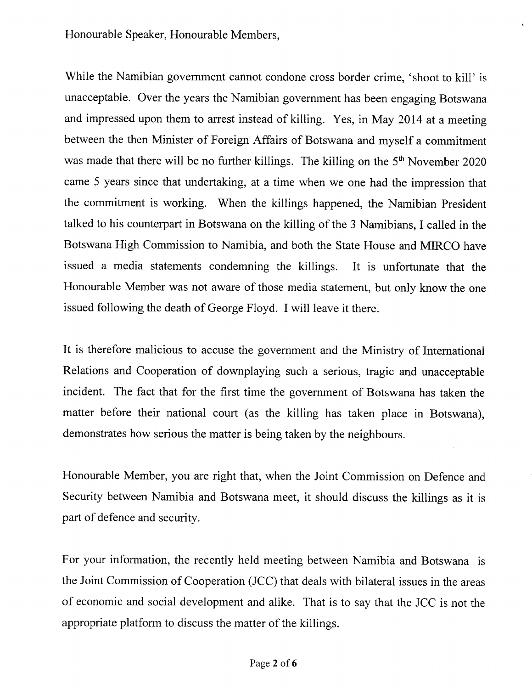Honourable Speaker, Honourable Members,

While the Namibian government cannot condone cross border crime, 'shoot to kill' is unacceptable. Over the years the Namibian government has been engaging Botswana and impressed upon them to arrest instead of killing. Yes, in May 2014 at a meeting between the then Minister of Foreign Affairs of Botswana and myself a commitment was made that there will be no further killings. The killing on the 5<sup>th</sup> November 2020 came 5 years since that undertaking, at a time when we one had the impression that the commitment is working. When the killings happened, the Namibian President talked to his counterpart in Botswana on the killing of the 3 Namibians, I called in the Botswana High Commission to Namibia, and both the State House and MIRCO have issued a media statements condemning the killings. It is unfortunate that the Honourable Member was not aware of those media statement, but only know the one issued following the death of George Floyd. I will leave it there.

It is therefore malicious to accuse the government and the Ministry of International Relations and Cooperation of downplaying such a serious, tragic and unacceptable incident. The fact that for the first time the government of Botswana has taken the matter before their national court (as the killing has taken place in Botswana), demonstrates how serious the matter is being taken by the neighbours.

Honourable Member, you are right that, when the Joint Commission on Defence and Security between Namibia and Botswana meet, it should discuss the killings as it is part of defence and security.

For your information, the recently held meeting between Namibia and Botswana is the Joint Commission of Cooperation *(lCC)* that deals with bilateral issues in the areas of economic and social development and alike. That is to say that the JCC is not the appropriate platform to discuss the matter of the killings.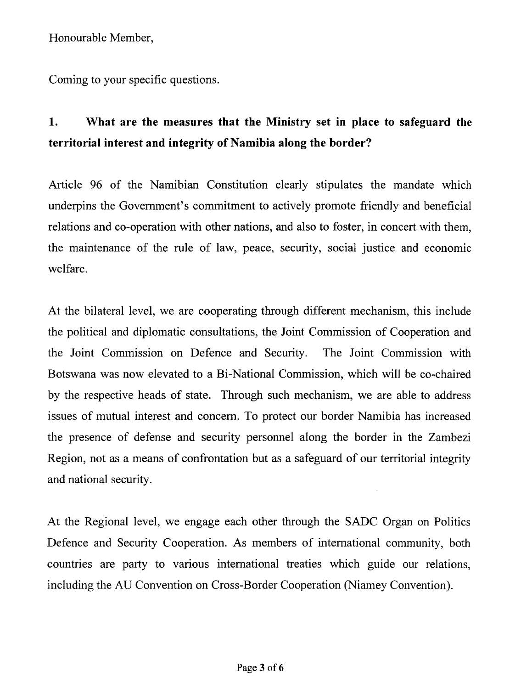Honourable Member,

Coming to your specific questions.

## **1. What are the measures that the Ministry set in place to safeguard the territorial interest and integrity of Namibia along the border?**

Article 96 of the Namibian Constitution clearly stipulates the mandate which underpins the Government's commitment to actively promote friendly and beneficial relations and co-operation with other nations, and also to foster, in concert with them, the maintenance of the rule of law, peace, security, social justice and economic welfare.

At the bilateral level, we are cooperating through different mechanism, this include the political and diplomatic consultations, the Joint Commission of Cooperation and the Joint Commission on Defence and Security. The Joint Commission with Botswana was now elevated to a Bi-National Commission, which will be co-chaired by the respective heads of state. Through such mechanism, we are able to address issues of mutual interest and concern. To protect our border Namibia has increased the presence of defense and security personnel along the border in the Zambezi Region, not as a means of confrontation but as a safeguard of our territorial integrity and national security.

At the Regional level, we engage each other through the SADC Organ on Politics Defence and Security Cooperation. As members of international community, both countries are party to various international treaties which guide our relations, including the AU Convention on Cross-Border Cooperation (Niamey Convention).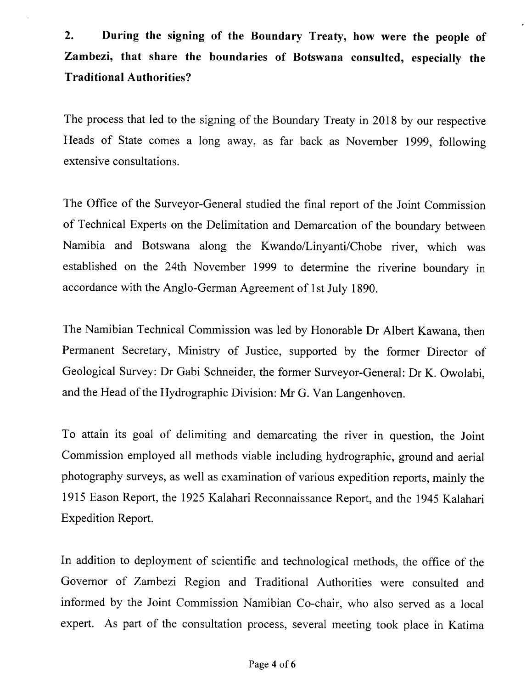**2. During the signing of the Boundary Treaty, how were the people of Zambezi, that share the boundaries of Botswana consulted, especially the Traditional Authorities?**

The process that led to the signing of the Boundary Treaty in 2018 by our respective Heads of State comes a long away, as far back as November 1999, following extensive consultations.

The Office of the Surveyor-General studied the final report of the Joint Commission of Technical Experts on the Delimitation and Demarcation of the boundary between Namibia and Botswana along the Kwando/Linyanti/Chobe river, which was established on the 24th November 1999 to determine the riverine boundary in accordance with the Anglo-German Agreement of 1st July 1890.

The Namibian Technical Commission was led by Honorable Dr Albert Kawana, then Permanent Secretary, Ministry of Justice, supported by the former Director of Geological Survey: Dr Gabi Schneider, the former Surveyor-General: Dr K. Owolabi, and the Head of the Hydrographic Division: Mr G. Van Langenhoven.

To attain its goal of delimiting and demarcating the river in question, the Joint Commission employed all methods viable including hydrographic, ground and aerial photography surveys, as well as examination of various expedition reports, mainly the 1915 Eason Report, the 1925 Kalahari Reconnaissance Report, and the 1945 Kalahari Expedition Report.

In addition to deployment of scientific and technological methods, the office of the Governor of Zambezi Region and Traditional Authorities were consulted and informed by the Joint Commission Namibian Co-chair, who also served as a local expert. As part of the consultation process, several meeting took place in Katima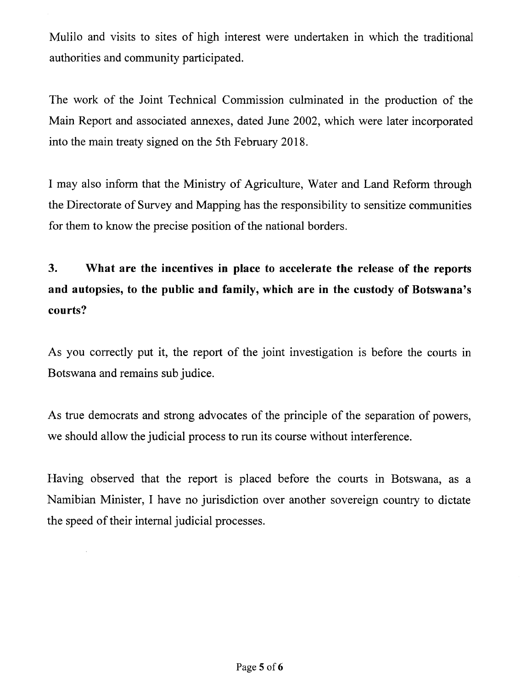Mulilo and visits to sites of high interest were undertaken in which the traditional authorities and community participated.

The work of the Joint Technical Commission culminated in the production of the Main Report and associated annexes, dated June 2002, which were later incorporated into the main treaty signed on the 5th February 2018.

I may also inform that the Ministry of Agriculture, Water and Land Reform through the Directorate of Survey and Mapping has the responsibility to sensitize communities for them to know the precise position of the national borders.

**3. What are the incentives in place to accelerate the release of the reports and autopsies, to the public and family, which are in the custody of Botswana's courts?**

As you correctly put it, the report of the joint investigation is before the courts in Botswana and remains sub judice.

As true democrats and strong advocates of the principle of the separation of powers, we should allow the judicial process to run its course without interference.

Having observed that the report is placed before the courts in Botswana, as a Namibian Minister, I have no jurisdiction over another sovereign country to dictate the speed of their internal judicial processes.